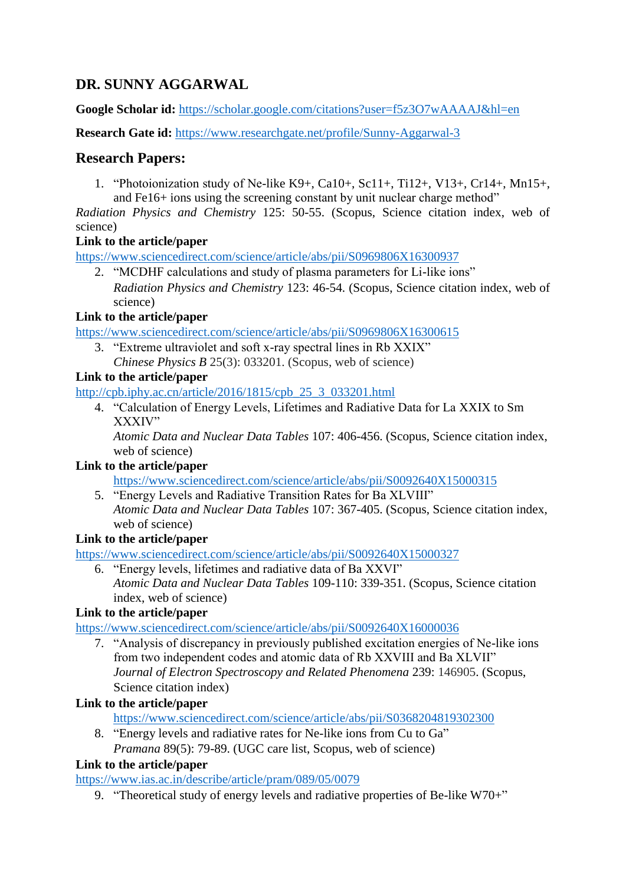# **DR. SUNNY AGGARWAL**

**Google Scholar id:** <https://scholar.google.com/citations?user=f5z3O7wAAAAJ&hl=en>

**Research Gate id:** <https://www.researchgate.net/profile/Sunny-Aggarwal-3>

# **Research Papers:**

1. "Photoionization study of Ne-like K9+, Ca10+, Sc11+, Ti12+, V13+, Cr14+, Mn15+, and Fe16+ ions using the screening constant by unit nuclear charge method"

*Radiation Physics and Chemistry* 125: 50-55. (Scopus, Science citation index, web of science)

### **Link to the article/paper**

<https://www.sciencedirect.com/science/article/abs/pii/S0969806X16300937>

2. "MCDHF calculations and study of plasma parameters for Li-like ions" *Radiation Physics and Chemistry* 123: 46-54. (Scopus, Science citation index, web of science)

### **Link to the article/paper**

<https://www.sciencedirect.com/science/article/abs/pii/S0969806X16300615>

3. "Extreme ultraviolet and soft x-ray spectral lines in Rb XXIX" *Chinese Physics B* 25(3): 033201. (Scopus, web of science)

# **Link to the article/paper**

[http://cpb.iphy.ac.cn/article/2016/1815/cpb\\_25\\_3\\_033201.html](http://cpb.iphy.ac.cn/article/2016/1815/cpb_25_3_033201.html)

4. "Calculation of Energy Levels, Lifetimes and Radiative Data for La XXIX to Sm XXXIV"

*Atomic Data and Nuclear Data Tables* 107: 406-456. (Scopus, Science citation index, web of science)

# **Link to the article/paper**

<https://www.sciencedirect.com/science/article/abs/pii/S0092640X15000315>

5. "Energy Levels and Radiative Transition Rates for Ba XLVIII" *Atomic Data and Nuclear Data Tables* 107: 367-405. (Scopus, Science citation index, web of science)

# **Link to the article/paper**

<https://www.sciencedirect.com/science/article/abs/pii/S0092640X15000327>

6. "Energy levels, lifetimes and radiative data of Ba XXVI" *Atomic Data and Nuclear Data Tables* 109-110: 339-351. (Scopus, Science citation index, web of science)

# **Link to the article/paper**

<https://www.sciencedirect.com/science/article/abs/pii/S0092640X16000036>

7. "Analysis of discrepancy in previously published excitation energies of Ne-like ions from two independent codes and atomic data of Rb XXVIII and Ba XLVII" *Journal of Electron Spectroscopy and Related Phenomena* 239: 146905. (Scopus, Science citation index)

# **Link to the article/paper**

<https://www.sciencedirect.com/science/article/abs/pii/S0368204819302300>

8. "Energy levels and radiative rates for Ne-like ions from Cu to Ga" *Pramana* 89(5): 79-89. (UGC care list, Scopus, web of science)

# **Link to the article/paper**

<https://www.ias.ac.in/describe/article/pram/089/05/0079>

9. "Theoretical study of energy levels and radiative properties of Be-like W70+"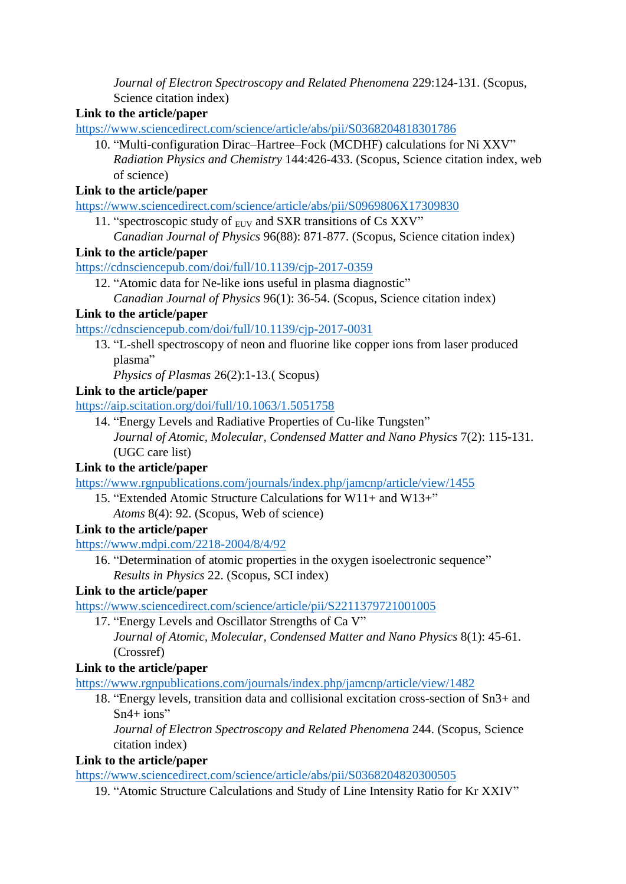*Journal of Electron Spectroscopy and Related Phenomena* 229:124-131. (Scopus, Science citation index)

# **Link to the article/paper**

<https://www.sciencedirect.com/science/article/abs/pii/S0368204818301786>

10. "Multi-configuration Dirac–Hartree–Fock (MCDHF) calculations for Ni XXV" *Radiation Physics and Chemistry* 144:426-433. (Scopus, Science citation index, web of science)

# **Link to the article/paper**

<https://www.sciencedirect.com/science/article/abs/pii/S0969806X17309830>

11. "spectroscopic study of  $_{EUV}$  and SXR transitions of Cs XXV" *Canadian Journal of Physics* 96(88): 871-877. (Scopus, Science citation index)

# **Link to the article/paper**

<https://cdnsciencepub.com/doi/full/10.1139/cjp-2017-0359>

12. "Atomic data for Ne-like ions useful in plasma diagnostic"

### **Link to the article/paper**

<https://cdnsciencepub.com/doi/full/10.1139/cjp-2017-0031>

13. "L-shell spectroscopy of neon and fluorine like copper ions from laser produced plasma"

*Physics of Plasmas* 26(2):1-13.( Scopus)

### **Link to the article/paper**

<https://aip.scitation.org/doi/full/10.1063/1.5051758>

14. "Energy Levels and Radiative Properties of Cu-like Tungsten" *Journal of Atomic, Molecular, Condensed Matter and Nano Physics* 7(2): 115-131. (UGC care list)

# **Link to the article/paper**

<https://www.rgnpublications.com/journals/index.php/jamcnp/article/view/1455>

- 15. "Extended Atomic Structure Calculations for W11+ and W13+"
	- *Atoms* 8(4): 92. (Scopus, Web of science)

# **Link to the article/paper**

<https://www.mdpi.com/2218-2004/8/4/92>

16. "Determination of atomic properties in the oxygen isoelectronic sequence" *Results in Physics* 22. (Scopus, SCI index)

# **Link to the article/paper**

<https://www.sciencedirect.com/science/article/pii/S2211379721001005>

17. "Energy Levels and Oscillator Strengths of Ca V" *Journal of Atomic, Molecular, Condensed Matter and Nano Physics* 8(1): 45-61. (Crossref)

# **Link to the article/paper**

<https://www.rgnpublications.com/journals/index.php/jamcnp/article/view/1482>

18. "Energy levels, transition data and collisional excitation cross-section of Sn3+ and  $Sn4+ ions''$ 

*Journal of Electron Spectroscopy and Related Phenomena* 244. (Scopus, Science citation index)

# **Link to the article/paper**

<https://www.sciencedirect.com/science/article/abs/pii/S0368204820300505>

19. "Atomic Structure Calculations and Study of Line Intensity Ratio for Kr XXIV"

*Canadian Journal of Physics* 96(1): 36-54. (Scopus, Science citation index)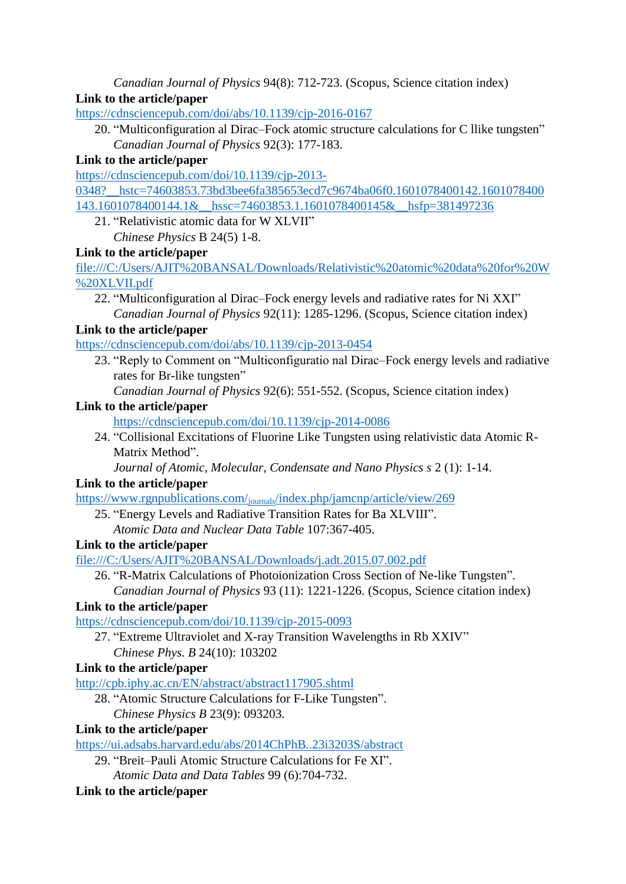*Canadian Journal of Physics* 94(8): 712-723. (Scopus, Science citation index)

# **Link to the article/paper**

<https://cdnsciencepub.com/doi/abs/10.1139/cjp-2016-0167>

20. "Multiconfiguration al Dirac–Fock atomic structure calculations for C llike tungsten" *Canadian Journal of Physics* 92(3): 177-183.

# **Link to the article/paper**

[https://cdnsciencepub.com/doi/10.1139/cjp-2013-](https://cdnsciencepub.com/doi/10.1139/cjp-2013-0348?__hstc=74603853.73bd3bee6fa385653ecd7c9674ba06f0.1601078400142.1601078400143.1601078400144.1&__hssc=74603853.1.1601078400145&__hsfp=381497236)

0348? hstc=74603853.73bd3bee6fa385653ecd7c9674ba06f0.1601078400142.1601078400 [143.1601078400144.1&\\_\\_hssc=74603853.1.1601078400145&\\_\\_hsfp=381497236](https://cdnsciencepub.com/doi/10.1139/cjp-2013-0348?__hstc=74603853.73bd3bee6fa385653ecd7c9674ba06f0.1601078400142.1601078400143.1601078400144.1&__hssc=74603853.1.1601078400145&__hsfp=381497236)

21. "Relativistic atomic data for W XLVII" *Chinese Physics* B 24(5) 1-8.

# **Link to the article/paper**

[file:///C:/Users/AJIT%20BANSAL/Downloads/Relativistic%20atomic%20data%20for%20W](file:///C:/Users/AJIT%20BANSAL/Downloads/Relativistic%20atomic%20data%20for%20W%20XLVII.pdf) [%20XLVII.pdf](file:///C:/Users/AJIT%20BANSAL/Downloads/Relativistic%20atomic%20data%20for%20W%20XLVII.pdf)

22. "Multiconfiguration al Dirac–Fock energy levels and radiative rates for Ni XXI" *Canadian Journal of Physics* 92(11): 1285-1296. (Scopus, Science citation index)

# **Link to the article/paper**

<https://cdnsciencepub.com/doi/abs/10.1139/cjp-2013-0454>

- 23. "Reply to Comment on "Multiconfiguratio nal Dirac–Fock energy levels and radiative rates for Br-like tungsten"
	- *Canadian Journal of Physics* 92(6): 551-552. (Scopus, Science citation index)

# **Link to the article/paper**

- <https://cdnsciencepub.com/doi/10.1139/cjp-2014-0086>
- 24. "Collisional Excitations of Fluorine Like Tungsten using relativistic data Atomic R-Matrix Method".

*Journal of Atomic, Molecular, Condensate and Nano Physics s* 2 (1): 1-14.

# **Link to the article/paper**

https://www.rgnpublications.com/journals[/index.php/jamcnp/article/view/269](https://www.rgnpublications.com/journals/index.php/jamcnp/article/view/269)

25. "Energy Levels and Radiative Transition Rates for Ba XLVIII". *Atomic Data and Nuclear Data Table* 107:367-405.

# **Link to the article/paper**

<file:///C:/Users/AJIT%20BANSAL/Downloads/j.adt.2015.07.002.pdf>

26. "R-Matrix Calculations of Photoionization Cross Section of Ne-like Tungsten".

*Canadian Journal of Physics* 93 (11): 1221-1226. (Scopus, Science citation index)

# **Link to the article/paper**

<https://cdnsciencepub.com/doi/10.1139/cjp-2015-0093>

27. "Extreme Ultraviolet and X-ray Transition Wavelengths in Rb XXIV" *Chinese Phys. B* 24(10): 103202

# **Link to the article/paper**

<http://cpb.iphy.ac.cn/EN/abstract/abstract117905.shtml>

28. "Atomic Structure Calculations for F-Like Tungsten". *Chinese Physics B* 23(9): 093203.

# **Link to the article/paper**

<https://ui.adsabs.harvard.edu/abs/2014ChPhB..23i3203S/abstract>

- 29. "Breit–Pauli Atomic Structure Calculations for Fe XI".
	- *Atomic Data and Data Tables* 99 (6):704-732.

# **Link to the article/paper**